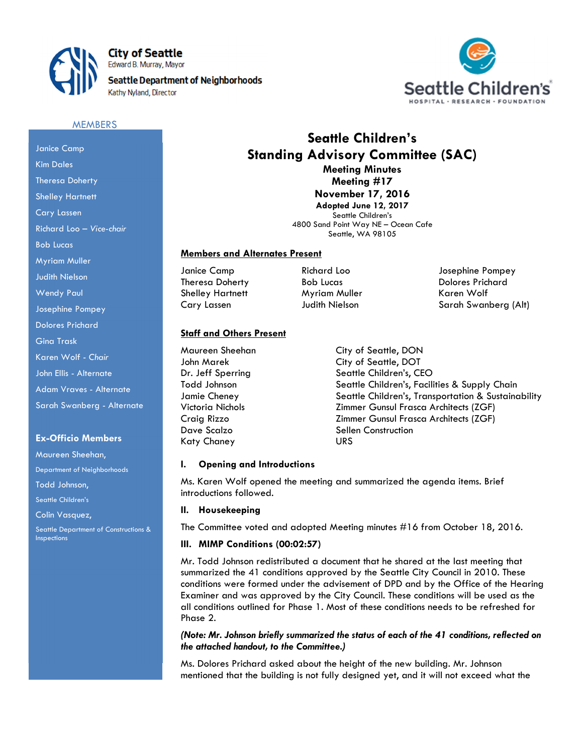

**City of Seattle** Edward B. Murray, Mayor

**Seattle Department of Neighborhoods** 





#### **MEMBERS**

## Janice Camp Kim Dales Theresa Doherty Shelley Hartnett Cary Lassen Richard Loo – Vice-chair Bob Lucas Myriam Muller Judith Nielson Wendy Paul Josephine Pompey Dolores Prichard Gina Trask Karen Wolf - Chair John Ellis - Alternate Adam Vraves - Alternate Sarah Swanberg - Alternate

#### Ex-Officio Members

Maureen Sheehan,

Department of Neighborhoods

Todd Johnson,

Seattle Children's

Colin Vasauez.

Seattle Department of Constructions & Inspections

## Seattle Children's Standing Advisory Committee (SAC) Meeting Minutes

Meeting #17 November 17, 2016 Adopted June 12, 2017

Seattle Children's 4800 Sand Point Way NE – Ocean Cafe Seattle, WA 98105

### Members and Alternates Present

Shelley Hartnett Myriam Muller North Karen Wolf

# Staff and Others Present

Maureen Sheehan City of Seattle, DON Dave Scalzo Sellen Construction Katy Chaney URS

Janice Camp Richard Loo Josephine Pompey Theresa Doherty **Bob Lucas** Bob Lucas Dolores Prichard Cary Lassen Judith Nielson Sarah Swanberg (Alt)

John Marek City of Seattle, DOT Dr. Jeff Sperring Seattle Children's, CEO Todd Johnson Seattle Children's, Facilities & Supply Chain Jamie Cheney Seattle Children's, Transportation & Sustainability Victoria Nichols Zimmer Gunsul Frasca Architects (ZGF) Craig Rizzo Zimmer Gunsul Frasca Architects (ZGF)

#### I. Opening and Introductions

Ms. Karen Wolf opened the meeting and summarized the agenda items. Brief introductions followed.

#### II. Housekeeping

The Committee voted and adopted Meeting minutes #16 from October 18, 2016.

#### III. MIMP Conditions (00:02:57)

Mr. Todd Johnson redistributed a document that he shared at the last meeting that summarized the 41 conditions approved by the Seattle City Council in 2010. These conditions were formed under the advisement of DPD and by the Office of the Hearing Examiner and was approved by the City Council. These conditions will be used as the all conditions outlined for Phase 1. Most of these conditions needs to be refreshed for Phase 2.

### (Note: Mr. Johnson briefly summarized the status of each of the 41 conditions, reflected on the attached handout, to the Committee.)

Ms. Dolores Prichard asked about the height of the new building. Mr. Johnson mentioned that the building is not fully designed yet, and it will not exceed what the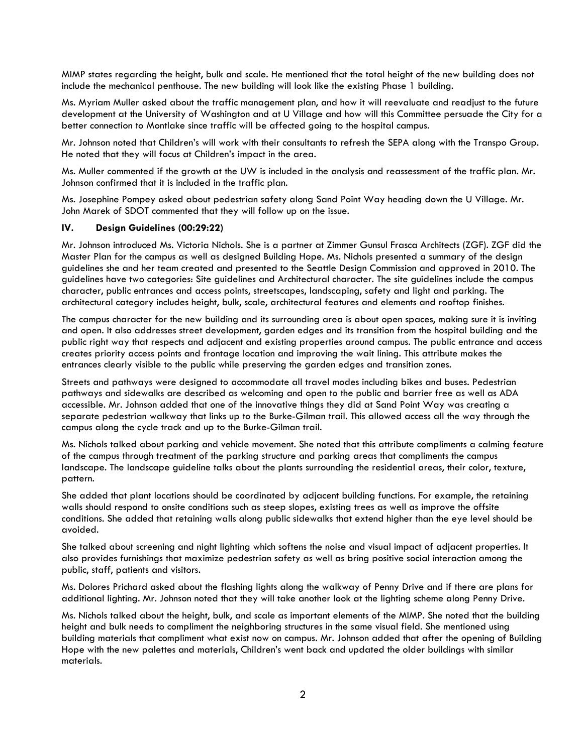MIMP states regarding the height, bulk and scale. He mentioned that the total height of the new building does not include the mechanical penthouse. The new building will look like the existing Phase 1 building.

Ms. Myriam Muller asked about the traffic management plan, and how it will reevaluate and readjust to the future development at the University of Washington and at U Village and how will this Committee persuade the City for a better connection to Montlake since traffic will be affected going to the hospital campus.

Mr. Johnson noted that Children's will work with their consultants to refresh the SEPA along with the Transpo Group. He noted that they will focus at Children's impact in the area.

Ms. Muller commented if the growth at the UW is included in the analysis and reassessment of the traffic plan. Mr. Johnson confirmed that it is included in the traffic plan.

Ms. Josephine Pompey asked about pedestrian safety along Sand Point Way heading down the U Village. Mr. John Marek of SDOT commented that they will follow up on the issue.

## IV. Design Guidelines (00:29:22)

Mr. Johnson introduced Ms. Victoria Nichols. She is a partner at Zimmer Gunsul Frasca Architects (ZGF). ZGF did the Master Plan for the campus as well as designed Building Hope. Ms. Nichols presented a summary of the design guidelines she and her team created and presented to the Seattle Design Commission and approved in 2010. The guidelines have two categories: Site guidelines and Architectural character. The site guidelines include the campus character, public entrances and access points, streetscapes, landscaping, safety and light and parking. The architectural category includes height, bulk, scale, architectural features and elements and rooftop finishes.

The campus character for the new building and its surrounding area is about open spaces, making sure it is inviting and open. It also addresses street development, garden edges and its transition from the hospital building and the public right way that respects and adjacent and existing properties around campus. The public entrance and access creates priority access points and frontage location and improving the wait lining. This attribute makes the entrances clearly visible to the public while preserving the garden edges and transition zones.

Streets and pathways were designed to accommodate all travel modes including bikes and buses. Pedestrian pathways and sidewalks are described as welcoming and open to the public and barrier free as well as ADA accessible. Mr. Johnson added that one of the innovative things they did at Sand Point Way was creating a separate pedestrian walkway that links up to the Burke-Gilman trail. This allowed access all the way through the campus along the cycle track and up to the Burke-Gilman trail.

Ms. Nichols talked about parking and vehicle movement. She noted that this attribute compliments a calming feature of the campus through treatment of the parking structure and parking areas that compliments the campus landscape. The landscape guideline talks about the plants surrounding the residential areas, their color, texture, pattern.

She added that plant locations should be coordinated by adjacent building functions. For example, the retaining walls should respond to onsite conditions such as steep slopes, existing trees as well as improve the offsite conditions. She added that retaining walls along public sidewalks that extend higher than the eye level should be avoided.

She talked about screening and night lighting which softens the noise and visual impact of adjacent properties. It also provides furnishings that maximize pedestrian safety as well as bring positive social interaction among the public, staff, patients and visitors.

Ms. Dolores Prichard asked about the flashing lights along the walkway of Penny Drive and if there are plans for additional lighting. Mr. Johnson noted that they will take another look at the lighting scheme along Penny Drive.

Ms. Nichols talked about the height, bulk, and scale as important elements of the MIMP. She noted that the building height and bulk needs to compliment the neighboring structures in the same visual field. She mentioned using building materials that compliment what exist now on campus. Mr. Johnson added that after the opening of Building Hope with the new palettes and materials, Children's went back and updated the older buildings with similar materials.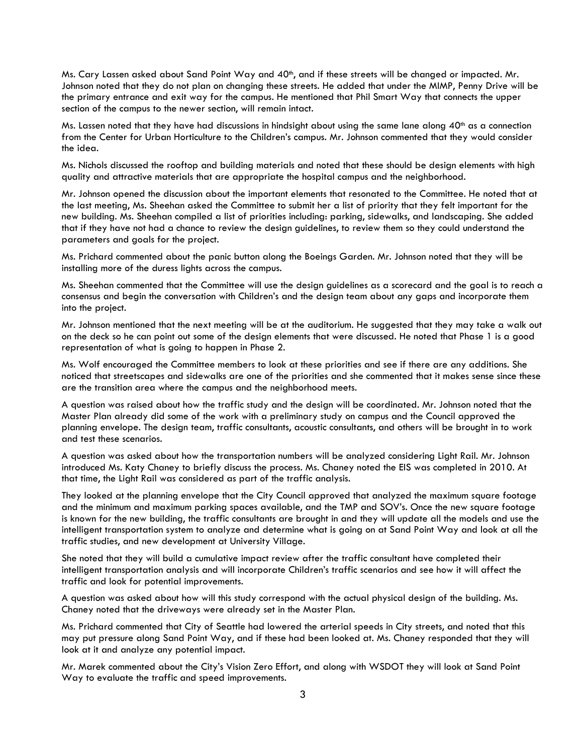Ms. Cary Lassen asked about Sand Point Way and  $40<sup>th</sup>$ , and if these streets will be changed or impacted. Mr. Johnson noted that they do not plan on changing these streets. He added that under the MIMP, Penny Drive will be the primary entrance and exit way for the campus. He mentioned that Phil Smart Way that connects the upper section of the campus to the newer section, will remain intact.

Ms. Lassen noted that they have had discussions in hindsight about using the same lane along  $40^{th}$  as a connection from the Center for Urban Horticulture to the Children's campus. Mr. Johnson commented that they would consider the idea.

Ms. Nichols discussed the rooftop and building materials and noted that these should be design elements with high quality and attractive materials that are appropriate the hospital campus and the neighborhood.

Mr. Johnson opened the discussion about the important elements that resonated to the Committee. He noted that at the last meeting, Ms. Sheehan asked the Committee to submit her a list of priority that they felt important for the new building. Ms. Sheehan compiled a list of priorities including: parking, sidewalks, and landscaping. She added that if they have not had a chance to review the design guidelines, to review them so they could understand the parameters and goals for the project.

Ms. Prichard commented about the panic button along the Boeings Garden. Mr. Johnson noted that they will be installing more of the duress lights across the campus.

Ms. Sheehan commented that the Committee will use the design guidelines as a scorecard and the goal is to reach a consensus and begin the conversation with Children's and the design team about any gaps and incorporate them into the project.

Mr. Johnson mentioned that the next meeting will be at the auditorium. He suggested that they may take a walk out on the deck so he can point out some of the design elements that were discussed. He noted that Phase 1 is a good representation of what is going to happen in Phase 2.

Ms. Wolf encouraged the Committee members to look at these priorities and see if there are any additions. She noticed that streetscapes and sidewalks are one of the priorities and she commented that it makes sense since these are the transition area where the campus and the neighborhood meets.

A question was raised about how the traffic study and the design will be coordinated. Mr. Johnson noted that the Master Plan already did some of the work with a preliminary study on campus and the Council approved the planning envelope. The design team, traffic consultants, acoustic consultants, and others will be brought in to work and test these scenarios.

A question was asked about how the transportation numbers will be analyzed considering Light Rail. Mr. Johnson introduced Ms. Katy Chaney to briefly discuss the process. Ms. Chaney noted the EIS was completed in 2010. At that time, the Light Rail was considered as part of the traffic analysis.

They looked at the planning envelope that the City Council approved that analyzed the maximum square footage and the minimum and maximum parking spaces available, and the TMP and SOV's. Once the new square footage is known for the new building, the traffic consultants are brought in and they will update all the models and use the intelligent transportation system to analyze and determine what is going on at Sand Point Way and look at all the traffic studies, and new development at University Village.

She noted that they will build a cumulative impact review after the traffic consultant have completed their intelligent transportation analysis and will incorporate Children's traffic scenarios and see how it will affect the traffic and look for potential improvements.

A question was asked about how will this study correspond with the actual physical design of the building. Ms. Chaney noted that the driveways were already set in the Master Plan.

Ms. Prichard commented that City of Seattle had lowered the arterial speeds in City streets, and noted that this may put pressure along Sand Point Way, and if these had been looked at. Ms. Chaney responded that they will look at it and analyze any potential impact.

Mr. Marek commented about the City's Vision Zero Effort, and along with WSDOT they will look at Sand Point Way to evaluate the traffic and speed improvements.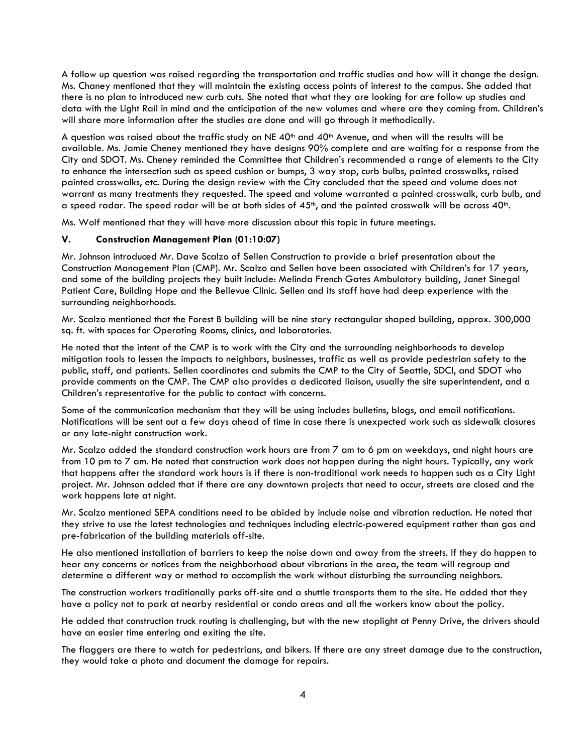A follow up question was raised regarding the transportation and traffic studies and how will it change the design. Ms. Chaney mentioned that they will maintain the existing access points of interest to the campus. She added that there is no plan to introduced new curb cuts. She noted that what they are looking for are follow up studies and data with the Light Rail in mind and the anticipation of the new volumes and where are they coming from. Children's will share more information after the studies are done and will go through it methodically.

A question was raised about the traffic study on NE  $40<sup>th</sup>$  and  $40<sup>th</sup>$  Avenue, and when will the results will be available. Ms. Jamie Cheney mentioned they have designs 90% complete and are waiting for a response from the City and SDOT. Ms. Cheney reminded the Committee that Children's recommended a range of elements to the City to enhance the intersection such as speed cushion or bumps, 3 way stop, curb bulbs, painted crosswalks, raised painted crosswalks, etc. During the design review with the City concluded that the speed and volume does not warrant as many treatments they requested. The speed and volume warranted a painted crosswalk, curb bulb, and a speed radar. The speed radar will be at both sides of  $45<sup>th</sup>$ , and the painted crosswalk will be across  $40<sup>th</sup>$ .

Ms. Wolf mentioned that they will have more discussion about this topic in future meetings.

#### V. Construction Management Plan (01:10:07)

Mr. Johnson introduced Mr. Dave Scalzo of Sellen Construction to provide a brief presentation about the Construction Management Plan (CMP). Mr. Scalzo and Sellen have been associated with Children's for 17 years, and some of the building projects they built include: Melinda French Gates Ambulatory building, Janet Sinegal Patient Care, Building Hope and the Bellevue Clinic. Sellen and its staff have had deep experience with the surrounding neighborhoods.

Mr. Scalzo mentioned that the Forest B building will be nine story rectangular shaped building, approx. 300,000 sq. ft. with spaces for Operating Rooms, clinics, and laboratories.

He noted that the intent of the CMP is to work with the City and the surrounding neighborhoods to develop mitigation tools to lessen the impacts to neighbors, businesses, traffic as well as provide pedestrian safety to the public, staff, and patients. Sellen coordinates and submits the CMP to the City of Seattle, SDCI, and SDOT who provide comments on the CMP. The CMP also provides a dedicated liaison, usually the site superintendent, and a Children's representative for the public to contact with concerns.

Some of the communication mechanism that they will be using includes bulletins, blogs, and email notifications. Notifications will be sent out a few days ahead of time in case there is unexpected work such as sidewalk closures or any late-night construction work.

Mr. Scalzo added the standard construction work hours are from 7 am to 6 pm on weekdays, and night hours are from 10 pm to 7 am. He noted that construction work does not happen during the night hours. Typically, any work that happens after the standard work hours is if there is non-traditional work needs to happen such as a City Light project. Mr. Johnson added that if there are any downtown projects that need to occur, streets are closed and the work happens late at night.

Mr. Scalzo mentioned SEPA conditions need to be abided by include noise and vibration reduction. He noted that they strive to use the latest technologies and techniques including electric-powered equipment rather than gas and pre-fabrication of the building materials off-site.

He also mentioned installation of barriers to keep the noise down and away from the streets. If they do happen to hear any concerns or notices from the neighborhood about vibrations in the area, the team will regroup and determine a different way or method to accomplish the work without disturbing the surrounding neighbors.

The construction workers traditionally parks off-site and a shuttle transports them to the site. He added that they have a policy not to park at nearby residential or condo areas and all the workers know about the policy.

He added that construction truck routing is challenging, but with the new stoplight at Penny Drive, the drivers should have an easier time entering and exiting the site.

The flaggers are there to watch for pedestrians, and bikers. If there are any street damage due to the construction, they would take a photo and document the damage for repairs.